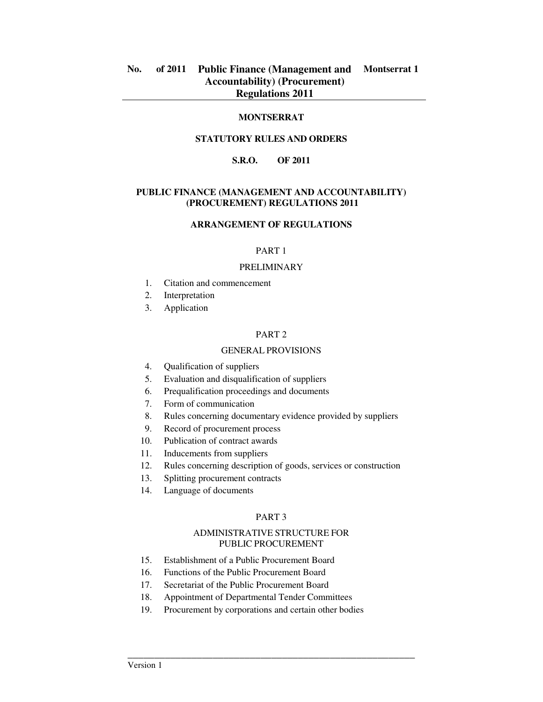## **MONTSERRAT**

## **STATUTORY RULES AND ORDERS**

# **S.R.O. OF 2011**

### **PUBLIC FINANCE (MANAGEMENT AND ACCOUNTABILITY) (PROCUREMENT) REGULATIONS 2011**

## **ARRANGEMENT OF REGULATIONS**

### PART 1

#### PRELIMINARY

- 1. Citation and commencement
- 2. Interpretation
- 3. Application

#### PART 2

## GENERAL PROVISIONS

- 4. Qualification of suppliers
- 5. Evaluation and disqualification of suppliers
- 6. Prequalification proceedings and documents
- 7. Form of communication
- 8. Rules concerning documentary evidence provided by suppliers
- 9. Record of procurement process
- 10. Publication of contract awards
- 11. Inducements from suppliers
- 12. Rules concerning description of goods, services or construction
- 13. Splitting procurement contracts
- 14. Language of documents

### PART 3

### ADMINISTRATIVE STRUCTURE FOR PUBLIC PROCUREMENT

- 15. Establishment of a Public Procurement Board
- 16. Functions of the Public Procurement Board
- 17. Secretariat of the Public Procurement Board
- 18. Appointment of Departmental Tender Committees
- 19. Procurement by corporations and certain other bodies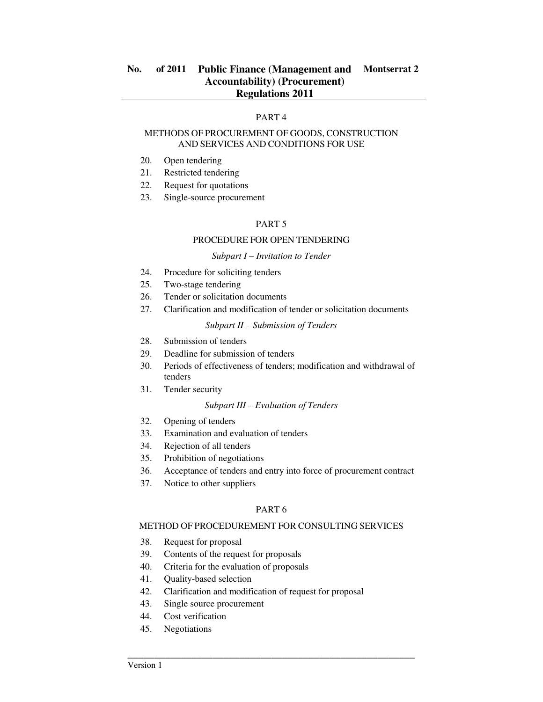## PART 4

### METHODS OF PROCUREMENT OF GOODS, CONSTRUCTION AND SERVICES AND CONDITIONS FOR USE

- 20. Open tendering
- 21. Restricted tendering
- 22. Request for quotations
- 23. Single-source procurement

### PART 5

## PROCEDURE FOR OPEN TENDERING

#### *Subpart I – Invitation to Tender*

- 24. Procedure for soliciting tenders
- 25. Two-stage tendering
- 26. Tender or solicitation documents
- 27. Clarification and modification of tender or solicitation documents

#### *Subpart II – Submission of Tenders*

- 28. Submission of tenders
- 29. Deadline for submission of tenders
- 30. Periods of effectiveness of tenders; modification and withdrawal of tenders
- 31. Tender security

### *Subpart III – Evaluation of Tenders*

- 32. Opening of tenders
- 33. Examination and evaluation of tenders
- 34. Rejection of all tenders
- 35. Prohibition of negotiations
- 36. Acceptance of tenders and entry into force of procurement contract
- 37. Notice to other suppliers

### PART 6

# METHOD OF PROCEDUREMENT FOR CONSULTING SERVICES

- 38. Request for proposal
- 39. Contents of the request for proposals
- 40. Criteria for the evaluation of proposals
- 41. Quality-based selection
- 42. Clarification and modification of request for proposal
- 43. Single source procurement
- 44. Cost verification
- 45. Negotiations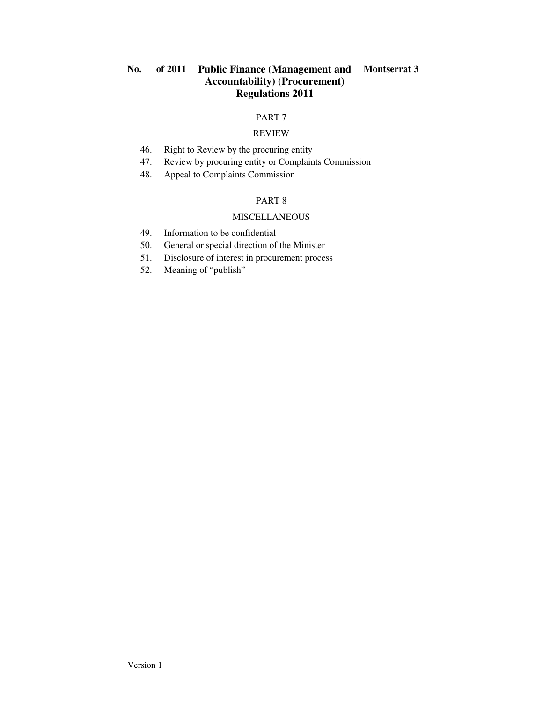# PART 7

# REVIEW

- 46. Right to Review by the procuring entity
- 47. Review by procuring entity or Complaints Commission
- 48. Appeal to Complaints Commission

# PART 8

# MISCELLANEOUS

- 49. Information to be confidential
- 50. General or special direction of the Minister
- 51. Disclosure of interest in procurement process
- 52. Meaning of "publish"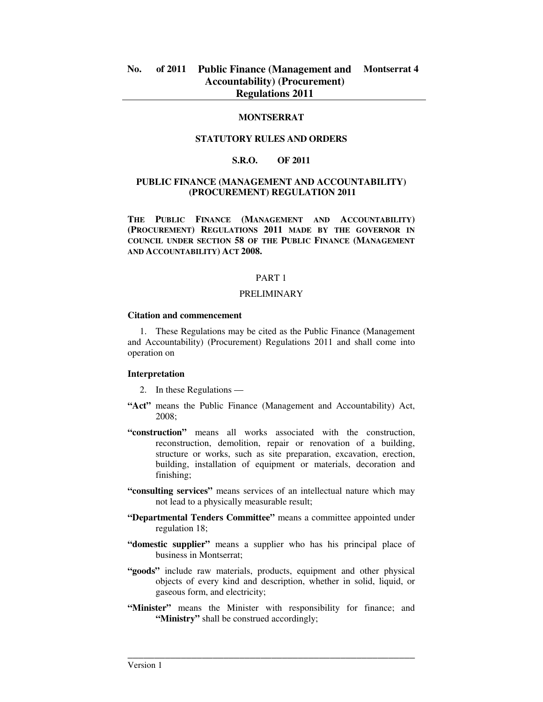## **MONTSERRAT**

## **STATUTORY RULES AND ORDERS**

## **S.R.O. OF 2011**

## **PUBLIC FINANCE (MANAGEMENT AND ACCOUNTABILITY) (PROCUREMENT) REGULATION 2011**

**THE PUBLIC FINANCE (MANAGEMENT AND ACCOUNTABILITY) (PROCUREMENT) REGULATIONS 2011 MADE BY THE GOVERNOR IN COUNCIL UNDER SECTION 58 OF THE PUBLIC FINANCE (MANAGEMENT AND ACCOUNTABILITY) ACT 2008.** 

#### PART 1

### PRELIMINARY

#### **Citation and commencement**

1. These Regulations may be cited as the Public Finance (Management and Accountability) (Procurement) Regulations 2011 and shall come into operation on

#### **Interpretation**

- 2. In these Regulations —
- **"Act"** means the Public Finance (Management and Accountability) Act, 2008;
- **"construction"** means all works associated with the construction, reconstruction, demolition, repair or renovation of a building, structure or works, such as site preparation, excavation, erection, building, installation of equipment or materials, decoration and finishing;
- **"consulting services"** means services of an intellectual nature which may not lead to a physically measurable result;
- **"Departmental Tenders Committee"** means a committee appointed under regulation 18;
- **"domestic supplier"** means a supplier who has his principal place of business in Montserrat;
- **"goods"** include raw materials, products, equipment and other physical objects of every kind and description, whether in solid, liquid, or gaseous form, and electricity;
- **"Minister"** means the Minister with responsibility for finance; and **"Ministry"** shall be construed accordingly;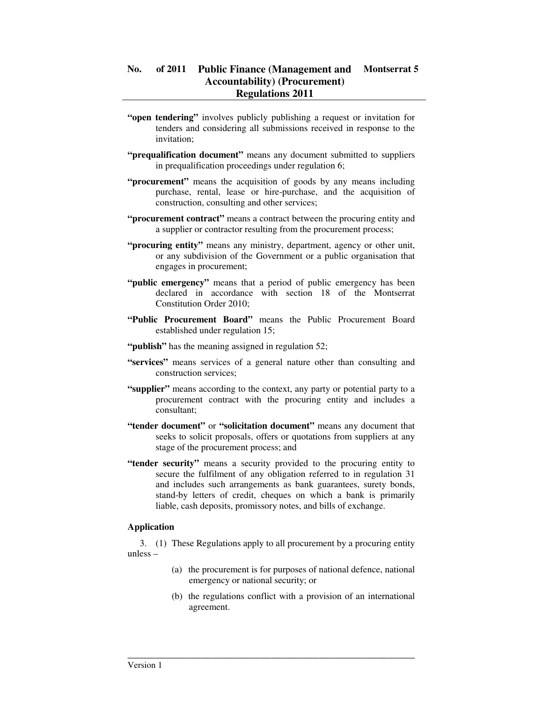- **"open tendering"** involves publicly publishing a request or invitation for tenders and considering all submissions received in response to the invitation;
- **"prequalification document"** means any document submitted to suppliers in prequalification proceedings under regulation 6;
- **"procurement"** means the acquisition of goods by any means including purchase, rental, lease or hire-purchase, and the acquisition of construction, consulting and other services;
- **"procurement contract"** means a contract between the procuring entity and a supplier or contractor resulting from the procurement process;
- **"procuring entity"** means any ministry, department, agency or other unit, or any subdivision of the Government or a public organisation that engages in procurement;
- "**public emergency**" means that a period of public emergency has been declared in accordance with section 18 of the Montserrat Constitution Order 2010;
- **"Public Procurement Board"** means the Public Procurement Board established under regulation 15;
- "**publish**" has the meaning assigned in regulation 52;
- **"services"** means services of a general nature other than consulting and construction services;
- **"supplier"** means according to the context, any party or potential party to a procurement contract with the procuring entity and includes a consultant;
- **"tender document"** or **"solicitation document"** means any document that seeks to solicit proposals, offers or quotations from suppliers at any stage of the procurement process; and
- **"tender security"** means a security provided to the procuring entity to secure the fulfilment of any obligation referred to in regulation 31 and includes such arrangements as bank guarantees, surety bonds, stand-by letters of credit, cheques on which a bank is primarily liable, cash deposits, promissory notes, and bills of exchange.

## **Application**

3. (1) These Regulations apply to all procurement by a procuring entity unless –

- (a) the procurement is for purposes of national defence, national emergency or national security; or
- (b) the regulations conflict with a provision of an international agreement.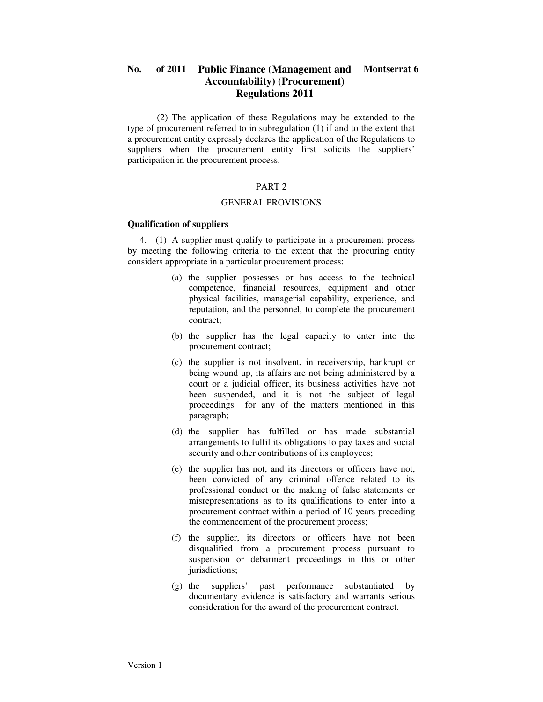(2) The application of these Regulations may be extended to the type of procurement referred to in subregulation (1) if and to the extent that a procurement entity expressly declares the application of the Regulations to suppliers when the procurement entity first solicits the suppliers' participation in the procurement process.

## PART 2

## GENERAL PROVISIONS

## **Qualification of suppliers**

4. (1) A supplier must qualify to participate in a procurement process by meeting the following criteria to the extent that the procuring entity considers appropriate in a particular procurement process:

- (a) the supplier possesses or has access to the technical competence, financial resources, equipment and other physical facilities, managerial capability, experience, and reputation, and the personnel, to complete the procurement contract;
- (b) the supplier has the legal capacity to enter into the procurement contract;
- (c) the supplier is not insolvent, in receivership, bankrupt or being wound up, its affairs are not being administered by a court or a judicial officer, its business activities have not been suspended, and it is not the subject of legal proceedings for any of the matters mentioned in this paragraph;
- (d) the supplier has fulfilled or has made substantial arrangements to fulfil its obligations to pay taxes and social security and other contributions of its employees;
- (e) the supplier has not, and its directors or officers have not, been convicted of any criminal offence related to its professional conduct or the making of false statements or misrepresentations as to its qualifications to enter into a procurement contract within a period of 10 years preceding the commencement of the procurement process;
- (f) the supplier, its directors or officers have not been disqualified from a procurement process pursuant to suspension or debarment proceedings in this or other jurisdictions;
- (g) the suppliers' past performance substantiated by documentary evidence is satisfactory and warrants serious consideration for the award of the procurement contract.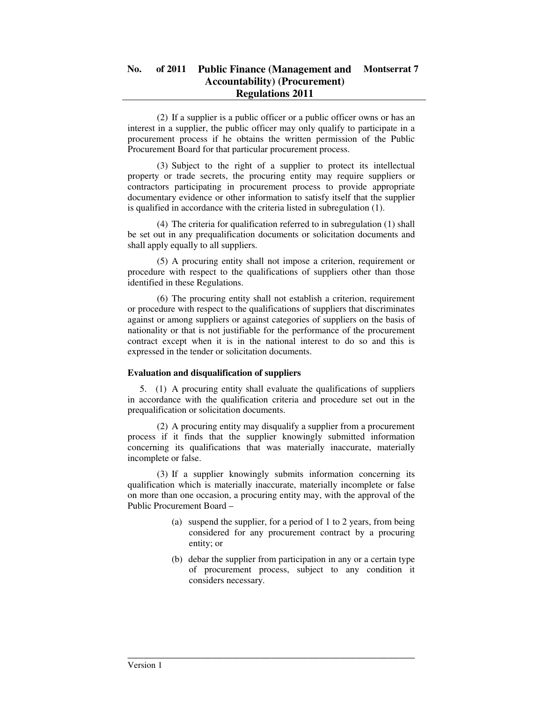(2) If a supplier is a public officer or a public officer owns or has an interest in a supplier, the public officer may only qualify to participate in a procurement process if he obtains the written permission of the Public Procurement Board for that particular procurement process.

 (3) Subject to the right of a supplier to protect its intellectual property or trade secrets, the procuring entity may require suppliers or contractors participating in procurement process to provide appropriate documentary evidence or other information to satisfy itself that the supplier is qualified in accordance with the criteria listed in subregulation (1).

 (4) The criteria for qualification referred to in subregulation (1) shall be set out in any prequalification documents or solicitation documents and shall apply equally to all suppliers.

 (5) A procuring entity shall not impose a criterion, requirement or procedure with respect to the qualifications of suppliers other than those identified in these Regulations.

 (6) The procuring entity shall not establish a criterion, requirement or procedure with respect to the qualifications of suppliers that discriminates against or among suppliers or against categories of suppliers on the basis of nationality or that is not justifiable for the performance of the procurement contract except when it is in the national interest to do so and this is expressed in the tender or solicitation documents.

## **Evaluation and disqualification of suppliers**

5. (1) A procuring entity shall evaluate the qualifications of suppliers in accordance with the qualification criteria and procedure set out in the prequalification or solicitation documents.

 (2) A procuring entity may disqualify a supplier from a procurement process if it finds that the supplier knowingly submitted information concerning its qualifications that was materially inaccurate, materially incomplete or false.

 (3) If a supplier knowingly submits information concerning its qualification which is materially inaccurate, materially incomplete or false on more than one occasion, a procuring entity may, with the approval of the Public Procurement Board –

- (a) suspend the supplier, for a period of 1 to 2 years, from being considered for any procurement contract by a procuring entity; or
- (b) debar the supplier from participation in any or a certain type of procurement process, subject to any condition it considers necessary.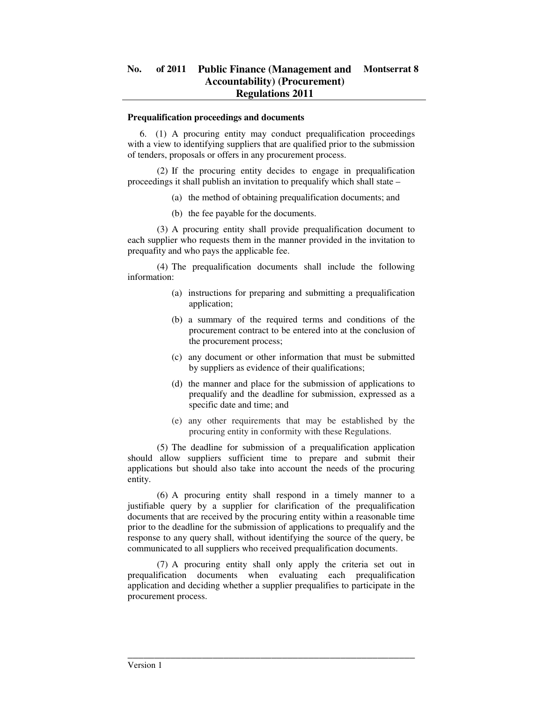#### **Prequalification proceedings and documents**

6. (1) A procuring entity may conduct prequalification proceedings with a view to identifying suppliers that are qualified prior to the submission of tenders, proposals or offers in any procurement process.

 (2) If the procuring entity decides to engage in prequalification proceedings it shall publish an invitation to prequalify which shall state –

- (a) the method of obtaining prequalification documents; and
- (b) the fee payable for the documents.

 (3) A procuring entity shall provide prequalification document to each supplier who requests them in the manner provided in the invitation to prequafity and who pays the applicable fee.

 (4) The prequalification documents shall include the following information:

- (a) instructions for preparing and submitting a prequalification application;
- (b) a summary of the required terms and conditions of the procurement contract to be entered into at the conclusion of the procurement process;
- (c) any document or other information that must be submitted by suppliers as evidence of their qualifications;
- (d) the manner and place for the submission of applications to prequalify and the deadline for submission, expressed as a specific date and time; and
- (e) any other requirements that may be established by the procuring entity in conformity with these Regulations.

 (5) The deadline for submission of a prequalification application should allow suppliers sufficient time to prepare and submit their applications but should also take into account the needs of the procuring entity.

 (6) A procuring entity shall respond in a timely manner to a justifiable query by a supplier for clarification of the prequalification documents that are received by the procuring entity within a reasonable time prior to the deadline for the submission of applications to prequalify and the response to any query shall, without identifying the source of the query, be communicated to all suppliers who received prequalification documents.

 (7) A procuring entity shall only apply the criteria set out in prequalification documents when evaluating each prequalification application and deciding whether a supplier prequalifies to participate in the procurement process.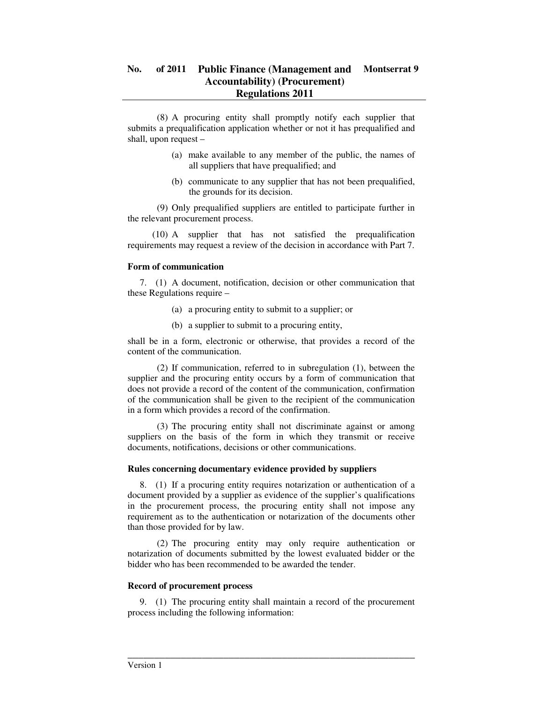(8) A procuring entity shall promptly notify each supplier that submits a prequalification application whether or not it has prequalified and shall, upon request –

- (a) make available to any member of the public, the names of all suppliers that have prequalified; and
- (b) communicate to any supplier that has not been prequalified, the grounds for its decision.

 (9) Only prequalified suppliers are entitled to participate further in the relevant procurement process.

 (10) A supplier that has not satisfied the prequalification requirements may request a review of the decision in accordance with Part 7.

### **Form of communication**

7. (1) A document, notification, decision or other communication that these Regulations require –

- (a) a procuring entity to submit to a supplier; or
- (b) a supplier to submit to a procuring entity,

shall be in a form, electronic or otherwise, that provides a record of the content of the communication.

 (2) If communication, referred to in subregulation (1), between the supplier and the procuring entity occurs by a form of communication that does not provide a record of the content of the communication, confirmation of the communication shall be given to the recipient of the communication in a form which provides a record of the confirmation.

 (3) The procuring entity shall not discriminate against or among suppliers on the basis of the form in which they transmit or receive documents, notifications, decisions or other communications.

## **Rules concerning documentary evidence provided by suppliers**

8. (1) If a procuring entity requires notarization or authentication of a document provided by a supplier as evidence of the supplier's qualifications in the procurement process, the procuring entity shall not impose any requirement as to the authentication or notarization of the documents other than those provided for by law.

 (2) The procuring entity may only require authentication or notarization of documents submitted by the lowest evaluated bidder or the bidder who has been recommended to be awarded the tender.

### **Record of procurement process**

9. (1) The procuring entity shall maintain a record of the procurement process including the following information: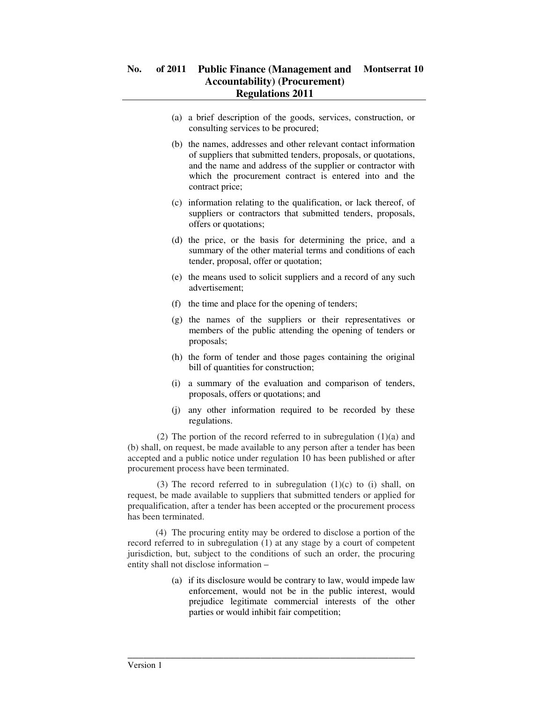- (a) a brief description of the goods, services, construction, or consulting services to be procured;
- (b) the names, addresses and other relevant contact information of suppliers that submitted tenders, proposals, or quotations, and the name and address of the supplier or contractor with which the procurement contract is entered into and the contract price;
- (c) information relating to the qualification, or lack thereof, of suppliers or contractors that submitted tenders, proposals, offers or quotations;
- (d) the price, or the basis for determining the price, and a summary of the other material terms and conditions of each tender, proposal, offer or quotation;
- (e) the means used to solicit suppliers and a record of any such advertisement;
- (f) the time and place for the opening of tenders;
- (g) the names of the suppliers or their representatives or members of the public attending the opening of tenders or proposals;
- (h) the form of tender and those pages containing the original bill of quantities for construction;
- (i) a summary of the evaluation and comparison of tenders, proposals, offers or quotations; and
- (j) any other information required to be recorded by these regulations.

 (2) The portion of the record referred to in subregulation (1)(a) and (b) shall, on request, be made available to any person after a tender has been accepted and a public notice under regulation 10 has been published or after procurement process have been terminated.

(3) The record referred to in subregulation  $(1)(c)$  to  $(i)$  shall, on request, be made available to suppliers that submitted tenders or applied for prequalification, after a tender has been accepted or the procurement process has been terminated.

 (4) The procuring entity may be ordered to disclose a portion of the record referred to in subregulation (1) at any stage by a court of competent jurisdiction, but, subject to the conditions of such an order, the procuring entity shall not disclose information –

\_\_\_\_\_\_\_\_\_\_\_\_\_\_\_\_\_\_\_\_\_\_\_\_\_\_\_\_\_\_\_\_\_\_\_\_\_\_\_\_\_\_\_\_\_\_\_\_\_\_\_\_\_\_

(a) if its disclosure would be contrary to law, would impede law enforcement, would not be in the public interest, would prejudice legitimate commercial interests of the other parties or would inhibit fair competition;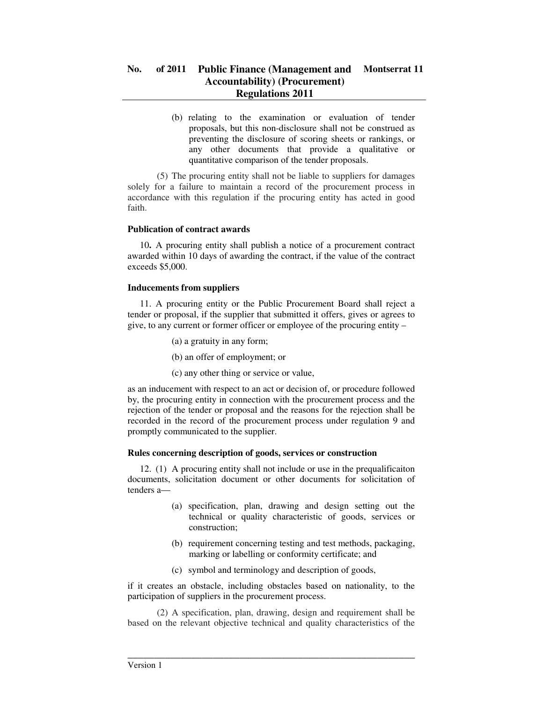(b) relating to the examination or evaluation of tender proposals, but this non-disclosure shall not be construed as preventing the disclosure of scoring sheets or rankings, or any other documents that provide a qualitative or quantitative comparison of the tender proposals.

 (5) The procuring entity shall not be liable to suppliers for damages solely for a failure to maintain a record of the procurement process in accordance with this regulation if the procuring entity has acted in good faith.

## **Publication of contract awards**

10**.** A procuring entity shall publish a notice of a procurement contract awarded within 10 days of awarding the contract, if the value of the contract exceeds \$5,000.

## **Inducements from suppliers**

11. A procuring entity or the Public Procurement Board shall reject a tender or proposal, if the supplier that submitted it offers, gives or agrees to give, to any current or former officer or employee of the procuring entity –

- (a) a gratuity in any form;
- (b) an offer of employment; or
- (c) any other thing or service or value,

as an inducement with respect to an act or decision of, or procedure followed by, the procuring entity in connection with the procurement process and the rejection of the tender or proposal and the reasons for the rejection shall be recorded in the record of the procurement process under regulation 9 and promptly communicated to the supplier.

### **Rules concerning description of goods, services or construction**

12. (1) A procuring entity shall not include or use in the prequalificaiton documents, solicitation document or other documents for solicitation of tenders a—

- (a) specification, plan, drawing and design setting out the technical or quality characteristic of goods, services or construction;
- (b) requirement concerning testing and test methods, packaging, marking or labelling or conformity certificate; and
- (c) symbol and terminology and description of goods,

if it creates an obstacle, including obstacles based on nationality, to the participation of suppliers in the procurement process.

 (2) A specification, plan, drawing, design and requirement shall be based on the relevant objective technical and quality characteristics of the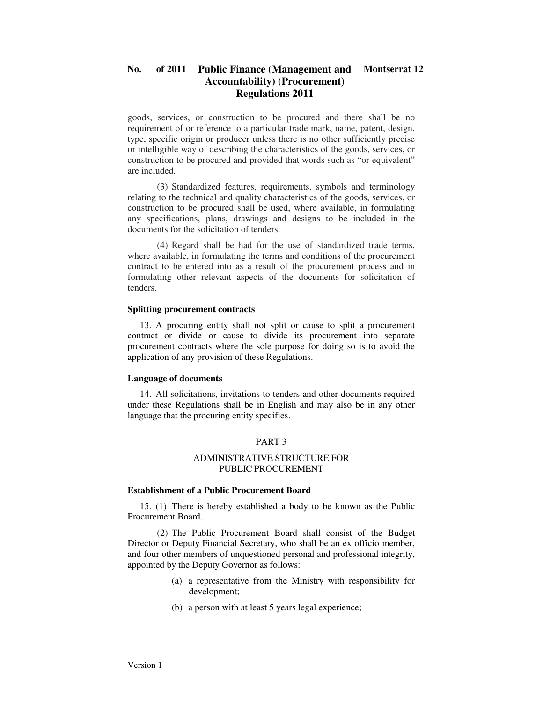goods, services, or construction to be procured and there shall be no requirement of or reference to a particular trade mark, name, patent, design, type, specific origin or producer unless there is no other sufficiently precise or intelligible way of describing the characteristics of the goods, services, or construction to be procured and provided that words such as "or equivalent" are included.

 (3) Standardized features, requirements, symbols and terminology relating to the technical and quality characteristics of the goods, services, or construction to be procured shall be used, where available, in formulating any specifications, plans, drawings and designs to be included in the documents for the solicitation of tenders.

 (4) Regard shall be had for the use of standardized trade terms, where available, in formulating the terms and conditions of the procurement contract to be entered into as a result of the procurement process and in formulating other relevant aspects of the documents for solicitation of tenders.

## **Splitting procurement contracts**

13. A procuring entity shall not split or cause to split a procurement contract or divide or cause to divide its procurement into separate procurement contracts where the sole purpose for doing so is to avoid the application of any provision of these Regulations.

## **Language of documents**

14. All solicitations, invitations to tenders and other documents required under these Regulations shall be in English and may also be in any other language that the procuring entity specifies.

# PART 3

## ADMINISTRATIVE STRUCTURE FOR PUBLIC PROCUREMENT

## **Establishment of a Public Procurement Board**

15. (1) There is hereby established a body to be known as the Public Procurement Board.

 (2) The Public Procurement Board shall consist of the Budget Director or Deputy Financial Secretary, who shall be an ex officio member, and four other members of unquestioned personal and professional integrity, appointed by the Deputy Governor as follows:

- (a) a representative from the Ministry with responsibility for development;
- (b) a person with at least 5 years legal experience;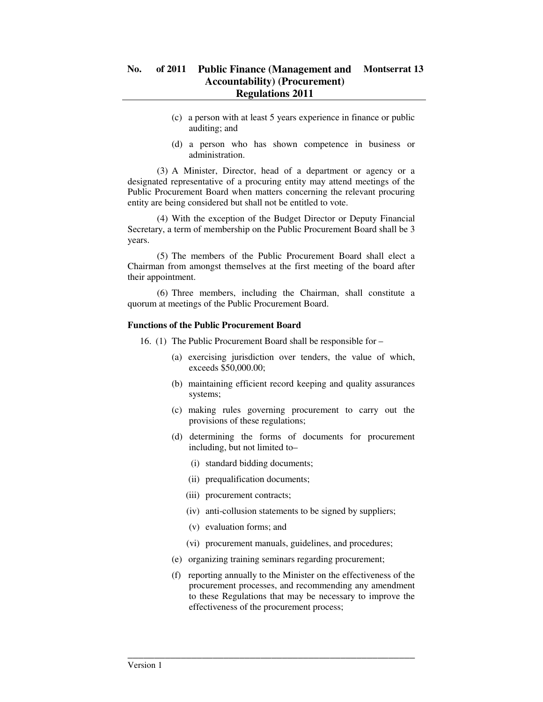- (c) a person with at least 5 years experience in finance or public auditing; and
- (d) a person who has shown competence in business or administration.

 (3) A Minister, Director, head of a department or agency or a designated representative of a procuring entity may attend meetings of the Public Procurement Board when matters concerning the relevant procuring entity are being considered but shall not be entitled to vote.

 (4) With the exception of the Budget Director or Deputy Financial Secretary, a term of membership on the Public Procurement Board shall be 3 years.

 (5) The members of the Public Procurement Board shall elect a Chairman from amongst themselves at the first meeting of the board after their appointment.

 (6) Three members, including the Chairman, shall constitute a quorum at meetings of the Public Procurement Board.

### **Functions of the Public Procurement Board**

16. (1) The Public Procurement Board shall be responsible for –

- (a) exercising jurisdiction over tenders, the value of which, exceeds \$50,000.00;
- (b) maintaining efficient record keeping and quality assurances systems;
- (c) making rules governing procurement to carry out the provisions of these regulations;
- (d) determining the forms of documents for procurement including, but not limited to–
	- (i) standard bidding documents;
	- (ii) prequalification documents;
	- (iii) procurement contracts;
	- (iv) anti-collusion statements to be signed by suppliers;
	- (v) evaluation forms; and
	- (vi) procurement manuals, guidelines, and procedures;
- (e) organizing training seminars regarding procurement;

\_\_\_\_\_\_\_\_\_\_\_\_\_\_\_\_\_\_\_\_\_\_\_\_\_\_\_\_\_\_\_\_\_\_\_\_\_\_\_\_\_\_\_\_\_\_\_\_\_\_\_\_\_\_

(f) reporting annually to the Minister on the effectiveness of the procurement processes, and recommending any amendment to these Regulations that may be necessary to improve the effectiveness of the procurement process;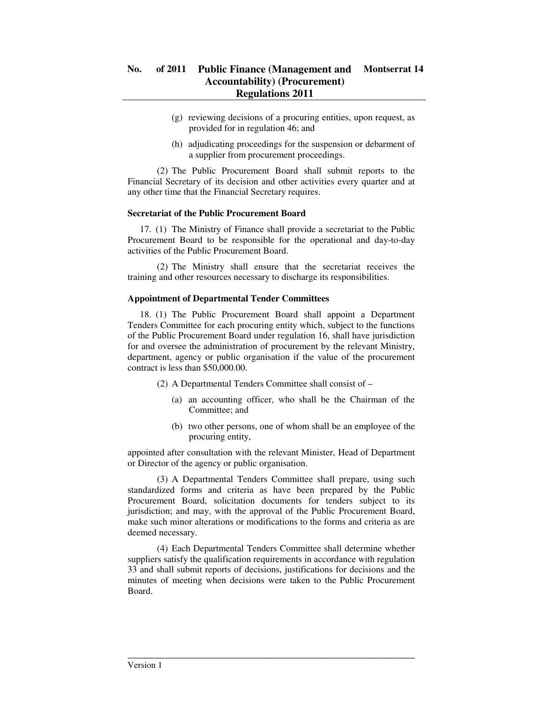- (g) reviewing decisions of a procuring entities, upon request, as provided for in regulation 46; and
- (h) adjudicating proceedings for the suspension or debarment of a supplier from procurement proceedings.

 (2) The Public Procurement Board shall submit reports to the Financial Secretary of its decision and other activities every quarter and at any other time that the Financial Secretary requires.

### **Secretariat of the Public Procurement Board**

17. (1) The Ministry of Finance shall provide a secretariat to the Public Procurement Board to be responsible for the operational and day-to-day activities of the Public Procurement Board.

 (2) The Ministry shall ensure that the secretariat receives the training and other resources necessary to discharge its responsibilities.

### **Appointment of Departmental Tender Committees**

18. (1) The Public Procurement Board shall appoint a Department Tenders Committee for each procuring entity which, subject to the functions of the Public Procurement Board under regulation 16, shall have jurisdiction for and oversee the administration of procurement by the relevant Ministry, department, agency or public organisation if the value of the procurement contract is less than \$50,000.00.

- (2) A Departmental Tenders Committee shall consist of
	- (a) an accounting officer, who shall be the Chairman of the Committee; and
	- (b) two other persons, one of whom shall be an employee of the procuring entity,

appointed after consultation with the relevant Minister, Head of Department or Director of the agency or public organisation.

 (3) A Departmental Tenders Committee shall prepare, using such standardized forms and criteria as have been prepared by the Public Procurement Board, solicitation documents for tenders subject to its jurisdiction; and may, with the approval of the Public Procurement Board, make such minor alterations or modifications to the forms and criteria as are deemed necessary.

 (4) Each Departmental Tenders Committee shall determine whether suppliers satisfy the qualification requirements in accordance with regulation 33 and shall submit reports of decisions, justifications for decisions and the minutes of meeting when decisions were taken to the Public Procurement Board.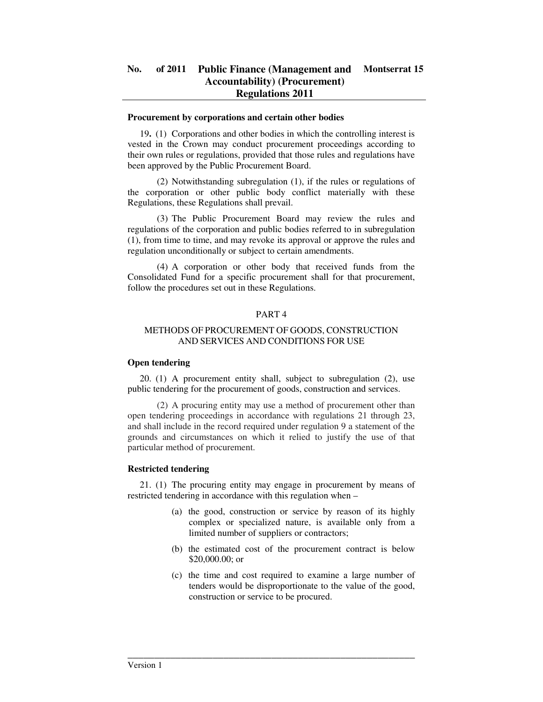#### **Procurement by corporations and certain other bodies**

19**.** (1) Corporations and other bodies in which the controlling interest is vested in the Crown may conduct procurement proceedings according to their own rules or regulations, provided that those rules and regulations have been approved by the Public Procurement Board.

 (2) Notwithstanding subregulation (1), if the rules or regulations of the corporation or other public body conflict materially with these Regulations, these Regulations shall prevail.

 (3) The Public Procurement Board may review the rules and regulations of the corporation and public bodies referred to in subregulation (1), from time to time, and may revoke its approval or approve the rules and regulation unconditionally or subject to certain amendments.

 (4) A corporation or other body that received funds from the Consolidated Fund for a specific procurement shall for that procurement, follow the procedures set out in these Regulations.

## PART 4

## METHODS OF PROCUREMENT OF GOODS, CONSTRUCTION AND SERVICES AND CONDITIONS FOR USE

### **Open tendering**

20. (1) A procurement entity shall, subject to subregulation (2), use public tendering for the procurement of goods, construction and services.

 (2) A procuring entity may use a method of procurement other than open tendering proceedings in accordance with regulations 21 through 23, and shall include in the record required under regulation 9 a statement of the grounds and circumstances on which it relied to justify the use of that particular method of procurement.

### **Restricted tendering**

21. (1) The procuring entity may engage in procurement by means of restricted tendering in accordance with this regulation when –

- (a) the good, construction or service by reason of its highly complex or specialized nature, is available only from a limited number of suppliers or contractors;
- (b) the estimated cost of the procurement contract is below \$20,000.00; or
- (c) the time and cost required to examine a large number of tenders would be disproportionate to the value of the good, construction or service to be procured.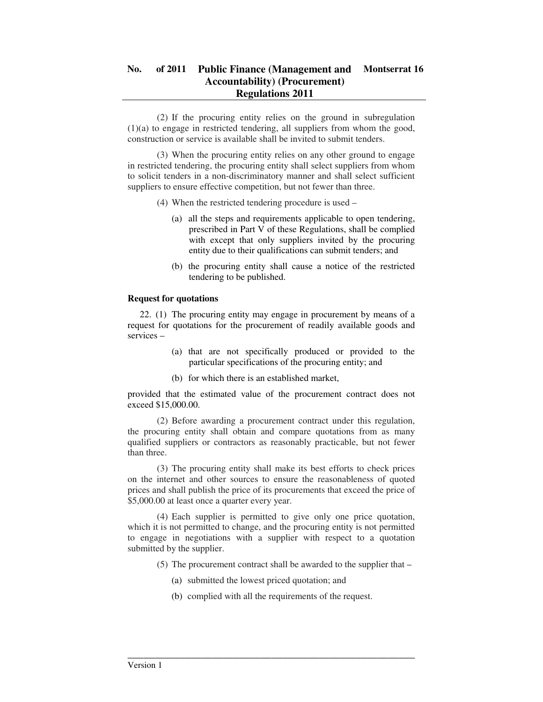(2) If the procuring entity relies on the ground in subregulation (1)(a) to engage in restricted tendering, all suppliers from whom the good, construction or service is available shall be invited to submit tenders.

 (3) When the procuring entity relies on any other ground to engage in restricted tendering, the procuring entity shall select suppliers from whom to solicit tenders in a non-discriminatory manner and shall select sufficient suppliers to ensure effective competition, but not fewer than three.

- (4) When the restricted tendering procedure is used
	- (a) all the steps and requirements applicable to open tendering, prescribed in Part V of these Regulations, shall be complied with except that only suppliers invited by the procuring entity due to their qualifications can submit tenders; and
	- (b) the procuring entity shall cause a notice of the restricted tendering to be published.

### **Request for quotations**

22. (1) The procuring entity may engage in procurement by means of a request for quotations for the procurement of readily available goods and services –

- (a) that are not specifically produced or provided to the particular specifications of the procuring entity; and
- (b) for which there is an established market,

provided that the estimated value of the procurement contract does not exceed \$15,000.00.

 (2) Before awarding a procurement contract under this regulation, the procuring entity shall obtain and compare quotations from as many qualified suppliers or contractors as reasonably practicable, but not fewer than three.

 (3) The procuring entity shall make its best efforts to check prices on the internet and other sources to ensure the reasonableness of quoted prices and shall publish the price of its procurements that exceed the price of \$5,000.00 at least once a quarter every year.

 (4) Each supplier is permitted to give only one price quotation, which it is not permitted to change, and the procuring entity is not permitted to engage in negotiations with a supplier with respect to a quotation submitted by the supplier.

(5) The procurement contract shall be awarded to the supplier that –

- (a) submitted the lowest priced quotation; and
- (b) complied with all the requirements of the request.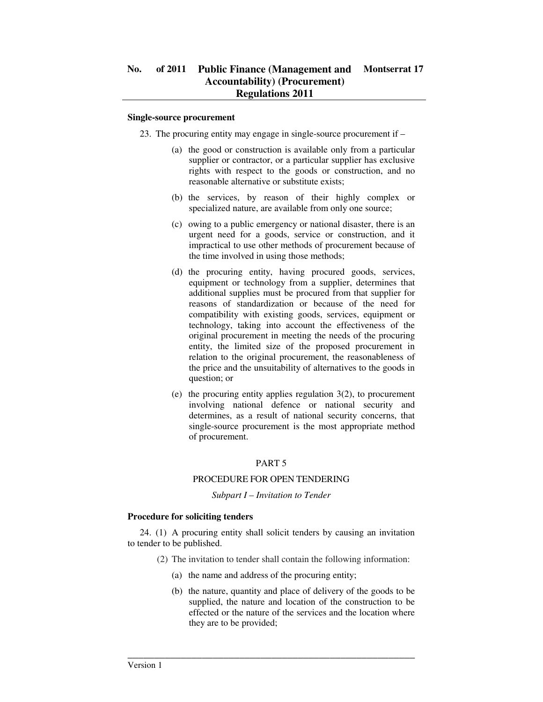#### **Single-source procurement**

- 23. The procuring entity may engage in single-source procurement if
	- (a) the good or construction is available only from a particular supplier or contractor, or a particular supplier has exclusive rights with respect to the goods or construction, and no reasonable alternative or substitute exists;
	- (b) the services, by reason of their highly complex or specialized nature, are available from only one source;
	- (c) owing to a public emergency or national disaster, there is an urgent need for a goods, service or construction, and it impractical to use other methods of procurement because of the time involved in using those methods;
	- (d) the procuring entity, having procured goods, services, equipment or technology from a supplier, determines that additional supplies must be procured from that supplier for reasons of standardization or because of the need for compatibility with existing goods, services, equipment or technology, taking into account the effectiveness of the original procurement in meeting the needs of the procuring entity, the limited size of the proposed procurement in relation to the original procurement, the reasonableness of the price and the unsuitability of alternatives to the goods in question; or
	- (e) the procuring entity applies regulation 3(2), to procurement involving national defence or national security and determines, as a result of national security concerns, that single-source procurement is the most appropriate method of procurement.

## PART 5

### PROCEDURE FOR OPEN TENDERING

#### *Subpart I – Invitation to Tender*

### **Procedure for soliciting tenders**

24. (1) A procuring entity shall solicit tenders by causing an invitation to tender to be published.

- (2) The invitation to tender shall contain the following information:
	- (a) the name and address of the procuring entity;

\_\_\_\_\_\_\_\_\_\_\_\_\_\_\_\_\_\_\_\_\_\_\_\_\_\_\_\_\_\_\_\_\_\_\_\_\_\_\_\_\_\_\_\_\_\_\_\_\_\_\_\_\_\_

(b) the nature, quantity and place of delivery of the goods to be supplied, the nature and location of the construction to be effected or the nature of the services and the location where they are to be provided;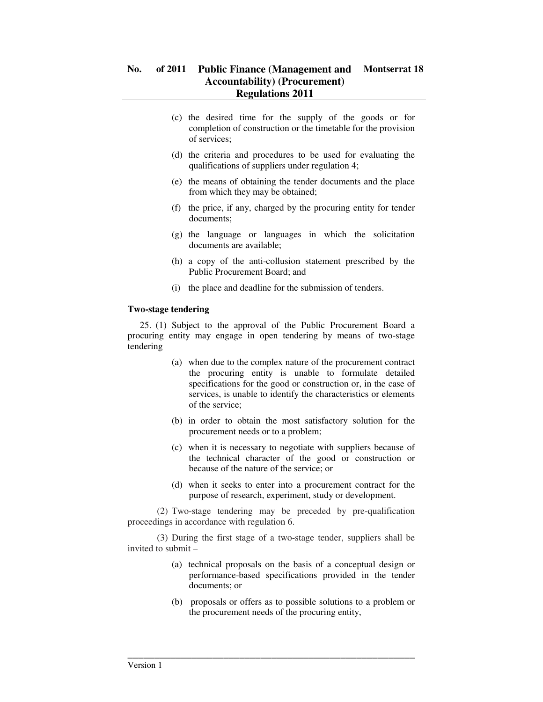- (c) the desired time for the supply of the goods or for completion of construction or the timetable for the provision of services;
- (d) the criteria and procedures to be used for evaluating the qualifications of suppliers under regulation 4;
- (e) the means of obtaining the tender documents and the place from which they may be obtained;
- (f) the price, if any, charged by the procuring entity for tender documents;
- (g) the language or languages in which the solicitation documents are available;
- (h) a copy of the anti-collusion statement prescribed by the Public Procurement Board; and
- (i) the place and deadline for the submission of tenders.

### **Two-stage tendering**

25. (1) Subject to the approval of the Public Procurement Board a procuring entity may engage in open tendering by means of two-stage tendering–

- (a) when due to the complex nature of the procurement contract the procuring entity is unable to formulate detailed specifications for the good or construction or, in the case of services, is unable to identify the characteristics or elements of the service;
- (b) in order to obtain the most satisfactory solution for the procurement needs or to a problem;
- (c) when it is necessary to negotiate with suppliers because of the technical character of the good or construction or because of the nature of the service; or
- (d) when it seeks to enter into a procurement contract for the purpose of research, experiment, study or development.

 (2) Two-stage tendering may be preceded by pre-qualification proceedings in accordance with regulation 6.

 (3) During the first stage of a two-stage tender, suppliers shall be invited to submit –

- (a) technical proposals on the basis of a conceptual design or performance-based specifications provided in the tender documents; or
- (b) proposals or offers as to possible solutions to a problem or the procurement needs of the procuring entity,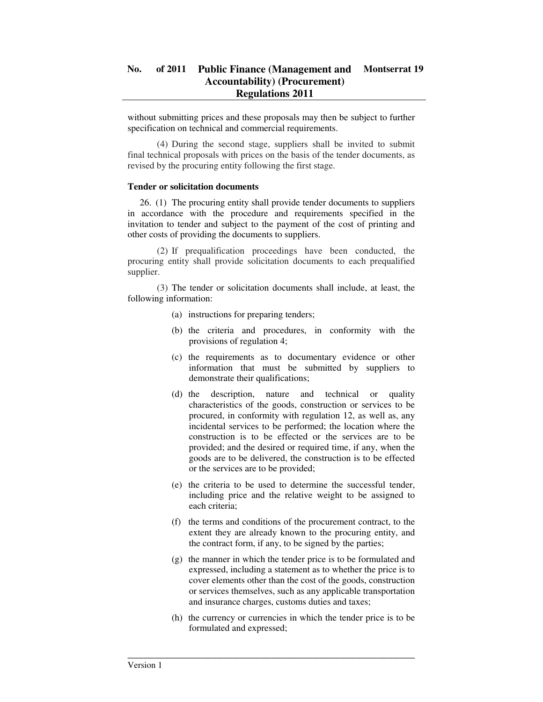without submitting prices and these proposals may then be subject to further specification on technical and commercial requirements.

 (4) During the second stage, suppliers shall be invited to submit final technical proposals with prices on the basis of the tender documents, as revised by the procuring entity following the first stage.

#### **Tender or solicitation documents**

26. (1) The procuring entity shall provide tender documents to suppliers in accordance with the procedure and requirements specified in the invitation to tender and subject to the payment of the cost of printing and other costs of providing the documents to suppliers.

 (2) If prequalification proceedings have been conducted, the procuring entity shall provide solicitation documents to each prequalified supplier.

 (3) The tender or solicitation documents shall include, at least, the following information:

- (a) instructions for preparing tenders;
- (b) the criteria and procedures, in conformity with the provisions of regulation 4;
- (c) the requirements as to documentary evidence or other information that must be submitted by suppliers to demonstrate their qualifications;
- (d) the description, nature and technical or quality characteristics of the goods, construction or services to be procured, in conformity with regulation 12, as well as, any incidental services to be performed; the location where the construction is to be effected or the services are to be provided; and the desired or required time, if any, when the goods are to be delivered, the construction is to be effected or the services are to be provided;
- (e) the criteria to be used to determine the successful tender, including price and the relative weight to be assigned to each criteria;
- (f) the terms and conditions of the procurement contract, to the extent they are already known to the procuring entity, and the contract form, if any, to be signed by the parties;
- (g) the manner in which the tender price is to be formulated and expressed, including a statement as to whether the price is to cover elements other than the cost of the goods, construction or services themselves, such as any applicable transportation and insurance charges, customs duties and taxes;
- (h) the currency or currencies in which the tender price is to be formulated and expressed;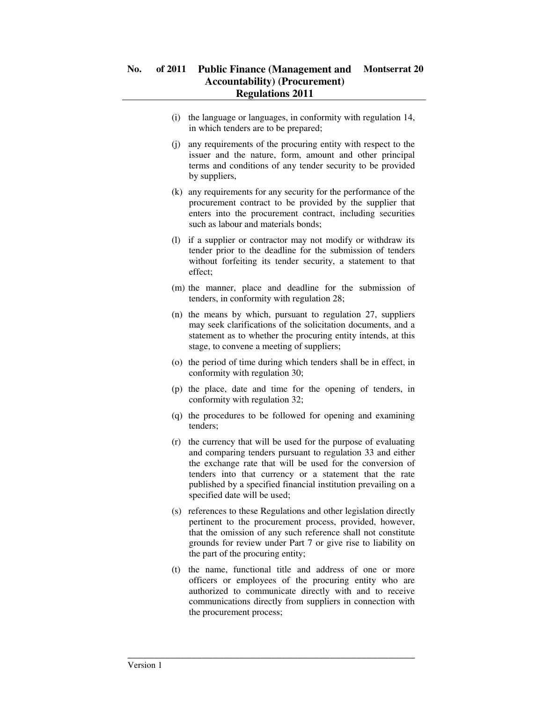- (i) the language or languages, in conformity with regulation 14, in which tenders are to be prepared;
- (j) any requirements of the procuring entity with respect to the issuer and the nature, form, amount and other principal terms and conditions of any tender security to be provided by suppliers,
- (k) any requirements for any security for the performance of the procurement contract to be provided by the supplier that enters into the procurement contract, including securities such as labour and materials bonds;
- (l) if a supplier or contractor may not modify or withdraw its tender prior to the deadline for the submission of tenders without forfeiting its tender security, a statement to that effect;
- (m) the manner, place and deadline for the submission of tenders, in conformity with regulation 28;
- (n) the means by which, pursuant to regulation 27, suppliers may seek clarifications of the solicitation documents, and a statement as to whether the procuring entity intends, at this stage, to convene a meeting of suppliers;
- (o) the period of time during which tenders shall be in effect, in conformity with regulation 30;
- (p) the place, date and time for the opening of tenders, in conformity with regulation 32;
- (q) the procedures to be followed for opening and examining tenders;
- (r) the currency that will be used for the purpose of evaluating and comparing tenders pursuant to regulation 33 and either the exchange rate that will be used for the conversion of tenders into that currency or a statement that the rate published by a specified financial institution prevailing on a specified date will be used;
- (s) references to these Regulations and other legislation directly pertinent to the procurement process, provided, however, that the omission of any such reference shall not constitute grounds for review under Part 7 or give rise to liability on the part of the procuring entity;
- (t) the name, functional title and address of one or more officers or employees of the procuring entity who are authorized to communicate directly with and to receive communications directly from suppliers in connection with the procurement process;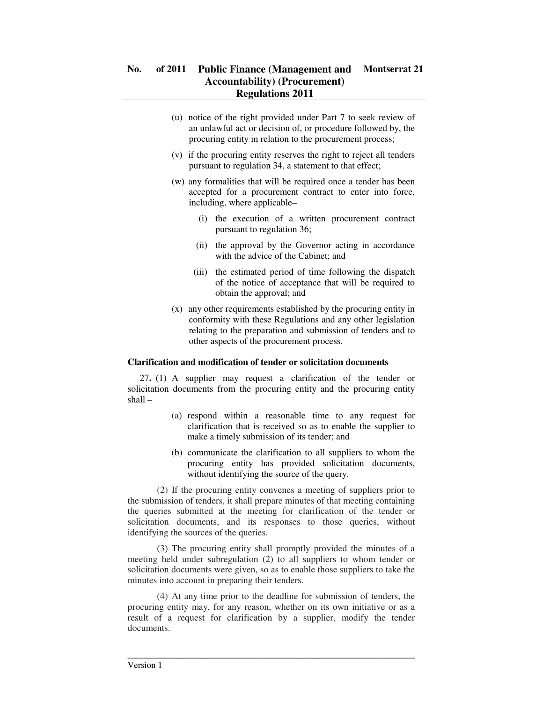- (u) notice of the right provided under Part 7 to seek review of an unlawful act or decision of, or procedure followed by, the procuring entity in relation to the procurement process;
- (v) if the procuring entity reserves the right to reject all tenders pursuant to regulation 34, a statement to that effect;
- (w) any formalities that will be required once a tender has been accepted for a procurement contract to enter into force, including, where applicable–
	- (i) the execution of a written procurement contract pursuant to regulation 36;
	- (ii) the approval by the Governor acting in accordance with the advice of the Cabinet; and
	- (iii) the estimated period of time following the dispatch of the notice of acceptance that will be required to obtain the approval; and
- (x) any other requirements established by the procuring entity in conformity with these Regulations and any other legislation relating to the preparation and submission of tenders and to other aspects of the procurement process.

### **Clarification and modification of tender or solicitation documents**

27**.** (1) A supplier may request a clarification of the tender or solicitation documents from the procuring entity and the procuring entity shall –

- (a) respond within a reasonable time to any request for clarification that is received so as to enable the supplier to make a timely submission of its tender; and
- (b) communicate the clarification to all suppliers to whom the procuring entity has provided solicitation documents, without identifying the source of the query.

 (2) If the procuring entity convenes a meeting of suppliers prior to the submission of tenders, it shall prepare minutes of that meeting containing the queries submitted at the meeting for clarification of the tender or solicitation documents, and its responses to those queries, without identifying the sources of the queries.

 (3) The procuring entity shall promptly provided the minutes of a meeting held under subregulation (2) to all suppliers to whom tender or solicitation documents were given, so as to enable those suppliers to take the minutes into account in preparing their tenders.

 (4) At any time prior to the deadline for submission of tenders, the procuring entity may, for any reason, whether on its own initiative or as a result of a request for clarification by a supplier, modify the tender documents.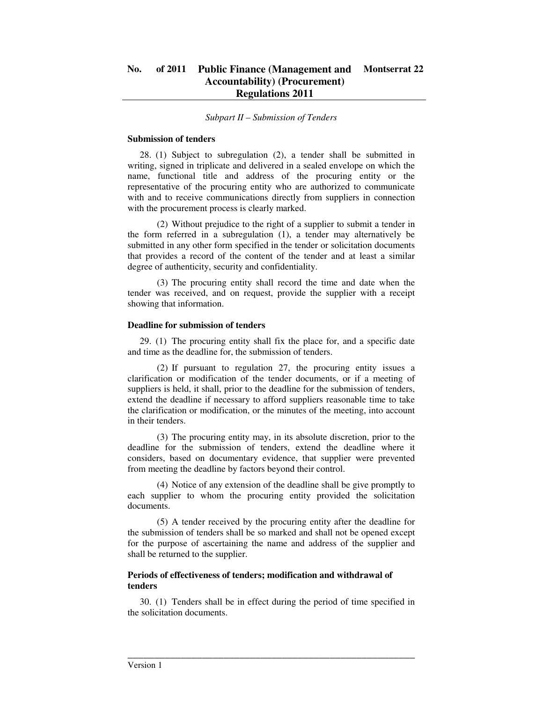#### *Subpart II – Submission of Tenders*

#### **Submission of tenders**

28. (1) Subject to subregulation (2), a tender shall be submitted in writing, signed in triplicate and delivered in a sealed envelope on which the name, functional title and address of the procuring entity or the representative of the procuring entity who are authorized to communicate with and to receive communications directly from suppliers in connection with the procurement process is clearly marked.

 (2) Without prejudice to the right of a supplier to submit a tender in the form referred in a subregulation (1), a tender may alternatively be submitted in any other form specified in the tender or solicitation documents that provides a record of the content of the tender and at least a similar degree of authenticity, security and confidentiality.

 (3) The procuring entity shall record the time and date when the tender was received, and on request, provide the supplier with a receipt showing that information.

#### **Deadline for submission of tenders**

29. (1) The procuring entity shall fix the place for, and a specific date and time as the deadline for, the submission of tenders.

 (2) If pursuant to regulation 27, the procuring entity issues a clarification or modification of the tender documents, or if a meeting of suppliers is held, it shall, prior to the deadline for the submission of tenders, extend the deadline if necessary to afford suppliers reasonable time to take the clarification or modification, or the minutes of the meeting, into account in their tenders.

 (3) The procuring entity may, in its absolute discretion, prior to the deadline for the submission of tenders, extend the deadline where it considers, based on documentary evidence, that supplier were prevented from meeting the deadline by factors beyond their control.

 (4) Notice of any extension of the deadline shall be give promptly to each supplier to whom the procuring entity provided the solicitation documents.

 (5) A tender received by the procuring entity after the deadline for the submission of tenders shall be so marked and shall not be opened except for the purpose of ascertaining the name and address of the supplier and shall be returned to the supplier.

### **Periods of effectiveness of tenders; modification and withdrawal of tenders**

30. (1) Tenders shall be in effect during the period of time specified in the solicitation documents.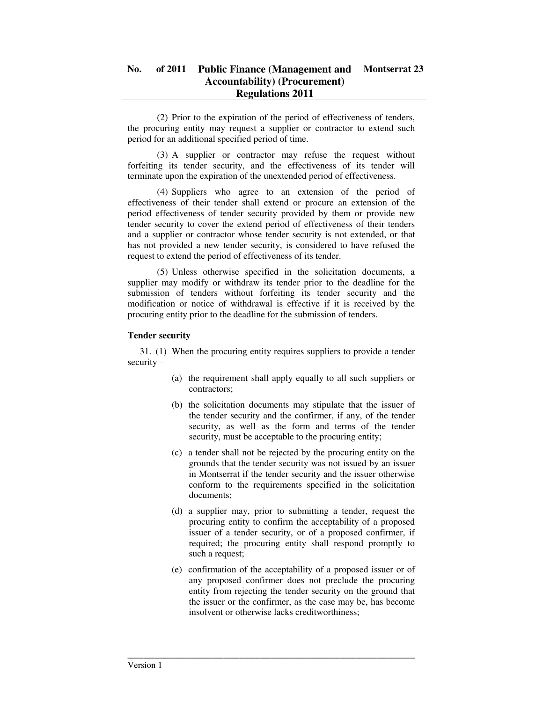(2) Prior to the expiration of the period of effectiveness of tenders, the procuring entity may request a supplier or contractor to extend such period for an additional specified period of time.

 (3) A supplier or contractor may refuse the request without forfeiting its tender security, and the effectiveness of its tender will terminate upon the expiration of the unextended period of effectiveness.

 (4) Suppliers who agree to an extension of the period of effectiveness of their tender shall extend or procure an extension of the period effectiveness of tender security provided by them or provide new tender security to cover the extend period of effectiveness of their tenders and a supplier or contractor whose tender security is not extended, or that has not provided a new tender security, is considered to have refused the request to extend the period of effectiveness of its tender.

 (5) Unless otherwise specified in the solicitation documents, a supplier may modify or withdraw its tender prior to the deadline for the submission of tenders without forfeiting its tender security and the modification or notice of withdrawal is effective if it is received by the procuring entity prior to the deadline for the submission of tenders.

## **Tender security**

31. (1) When the procuring entity requires suppliers to provide a tender security –

- (a) the requirement shall apply equally to all such suppliers or contractors;
- (b) the solicitation documents may stipulate that the issuer of the tender security and the confirmer, if any, of the tender security, as well as the form and terms of the tender security, must be acceptable to the procuring entity;
- (c) a tender shall not be rejected by the procuring entity on the grounds that the tender security was not issued by an issuer in Montserrat if the tender security and the issuer otherwise conform to the requirements specified in the solicitation documents;
- (d) a supplier may, prior to submitting a tender, request the procuring entity to confirm the acceptability of a proposed issuer of a tender security, or of a proposed confirmer, if required; the procuring entity shall respond promptly to such a request;
- (e) confirmation of the acceptability of a proposed issuer or of any proposed confirmer does not preclude the procuring entity from rejecting the tender security on the ground that the issuer or the confirmer, as the case may be, has become insolvent or otherwise lacks creditworthiness;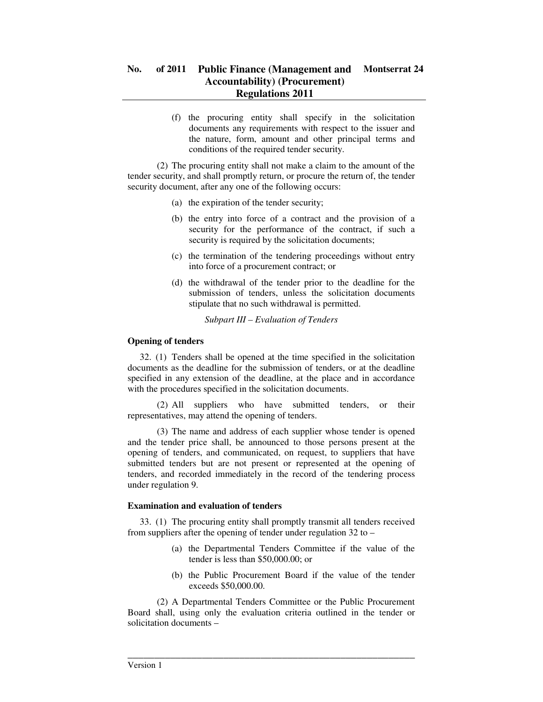(f) the procuring entity shall specify in the solicitation documents any requirements with respect to the issuer and the nature, form, amount and other principal terms and conditions of the required tender security.

 (2) The procuring entity shall not make a claim to the amount of the tender security, and shall promptly return, or procure the return of, the tender security document, after any one of the following occurs:

- (a) the expiration of the tender security;
- (b) the entry into force of a contract and the provision of a security for the performance of the contract, if such a security is required by the solicitation documents;
- (c) the termination of the tendering proceedings without entry into force of a procurement contract; or
- (d) the withdrawal of the tender prior to the deadline for the submission of tenders, unless the solicitation documents stipulate that no such withdrawal is permitted.

*Subpart III – Evaluation of Tenders* 

### **Opening of tenders**

32. (1) Tenders shall be opened at the time specified in the solicitation documents as the deadline for the submission of tenders, or at the deadline specified in any extension of the deadline, at the place and in accordance with the procedures specified in the solicitation documents.

 (2) All suppliers who have submitted tenders, or their representatives, may attend the opening of tenders.

 (3) The name and address of each supplier whose tender is opened and the tender price shall, be announced to those persons present at the opening of tenders, and communicated, on request, to suppliers that have submitted tenders but are not present or represented at the opening of tenders, and recorded immediately in the record of the tendering process under regulation 9.

### **Examination and evaluation of tenders**

33. (1) The procuring entity shall promptly transmit all tenders received from suppliers after the opening of tender under regulation 32 to –

- (a) the Departmental Tenders Committee if the value of the tender is less than \$50,000.00; or
- (b) the Public Procurement Board if the value of the tender exceeds \$50,000.00.

 (2) A Departmental Tenders Committee or the Public Procurement Board shall, using only the evaluation criteria outlined in the tender or solicitation documents –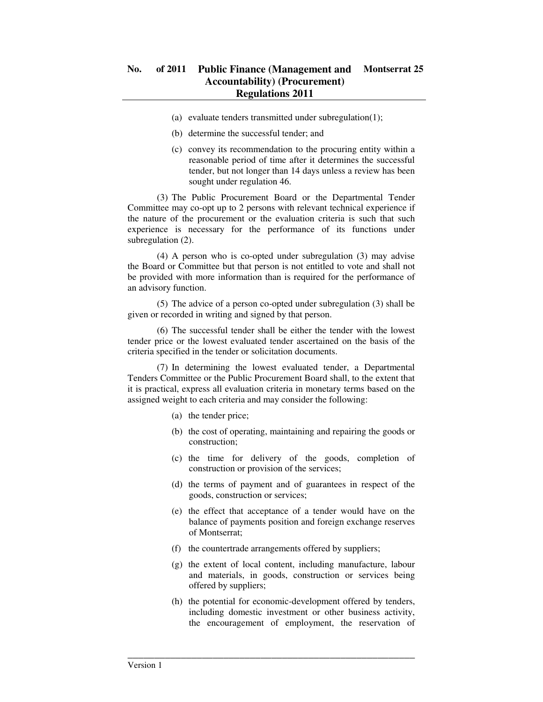- (a) evaluate tenders transmitted under subregulation(1);
- (b) determine the successful tender; and
- (c) convey its recommendation to the procuring entity within a reasonable period of time after it determines the successful tender, but not longer than 14 days unless a review has been sought under regulation 46.

 (3) The Public Procurement Board or the Departmental Tender Committee may co-opt up to 2 persons with relevant technical experience if the nature of the procurement or the evaluation criteria is such that such experience is necessary for the performance of its functions under subregulation  $(2)$ .

 (4) A person who is co-opted under subregulation (3) may advise the Board or Committee but that person is not entitled to vote and shall not be provided with more information than is required for the performance of an advisory function.

 (5) The advice of a person co-opted under subregulation (3) shall be given or recorded in writing and signed by that person.

 (6) The successful tender shall be either the tender with the lowest tender price or the lowest evaluated tender ascertained on the basis of the criteria specified in the tender or solicitation documents.

 (7) In determining the lowest evaluated tender, a Departmental Tenders Committee or the Public Procurement Board shall, to the extent that it is practical, express all evaluation criteria in monetary terms based on the assigned weight to each criteria and may consider the following:

- (a) the tender price;
- (b) the cost of operating, maintaining and repairing the goods or construction;
- (c) the time for delivery of the goods, completion of construction or provision of the services;
- (d) the terms of payment and of guarantees in respect of the goods, construction or services;
- (e) the effect that acceptance of a tender would have on the balance of payments position and foreign exchange reserves of Montserrat;
- (f) the countertrade arrangements offered by suppliers;

- (g) the extent of local content, including manufacture, labour and materials, in goods, construction or services being offered by suppliers;
- (h) the potential for economic-development offered by tenders, including domestic investment or other business activity, the encouragement of employment, the reservation of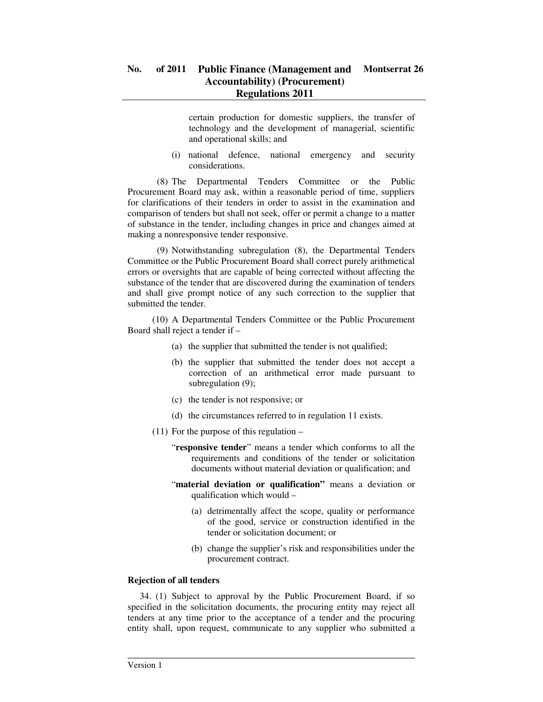certain production for domestic suppliers, the transfer of technology and the development of managerial, scientific and operational skills; and

(i) national defence, national emergency and security considerations.

 (8) The Departmental Tenders Committee or the Public Procurement Board may ask, within a reasonable period of time, suppliers for clarifications of their tenders in order to assist in the examination and comparison of tenders but shall not seek, offer or permit a change to a matter of substance in the tender, including changes in price and changes aimed at making a nonresponsive tender responsive.

 (9) Notwithstanding subregulation (8), the Departmental Tenders Committee or the Public Procurement Board shall correct purely arithmetical errors or oversights that are capable of being corrected without affecting the substance of the tender that are discovered during the examination of tenders and shall give prompt notice of any such correction to the supplier that submitted the tender.

 (10) A Departmental Tenders Committee or the Public Procurement Board shall reject a tender if –

- (a) the supplier that submitted the tender is not qualified;
- (b) the supplier that submitted the tender does not accept a correction of an arithmetical error made pursuant to subregulation (9);
- (c) the tender is not responsive; or
- (d) the circumstances referred to in regulation 11 exists.
- (11) For the purpose of this regulation
	- "**responsive tender**" means a tender which conforms to all the requirements and conditions of the tender or solicitation documents without material deviation or qualification; and
	- "**material deviation or qualification"** means a deviation or qualification which would –
		- (a) detrimentally affect the scope, quality or performance of the good, service or construction identified in the tender or solicitation document; or
		- (b) change the supplier's risk and responsibilities under the procurement contract.

## **Rejection of all tenders**

34. (1) Subject to approval by the Public Procurement Board, if so specified in the solicitation documents, the procuring entity may reject all tenders at any time prior to the acceptance of a tender and the procuring entity shall, upon request, communicate to any supplier who submitted a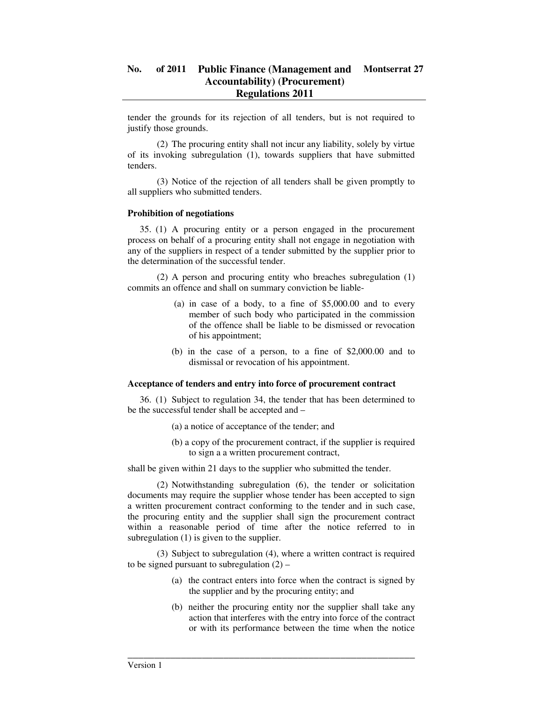tender the grounds for its rejection of all tenders, but is not required to justify those grounds.

 (2) The procuring entity shall not incur any liability, solely by virtue of its invoking subregulation (1), towards suppliers that have submitted tenders.

 (3) Notice of the rejection of all tenders shall be given promptly to all suppliers who submitted tenders.

### **Prohibition of negotiations**

35. (1) A procuring entity or a person engaged in the procurement process on behalf of a procuring entity shall not engage in negotiation with any of the suppliers in respect of a tender submitted by the supplier prior to the determination of the successful tender.

 (2) A person and procuring entity who breaches subregulation (1) commits an offence and shall on summary conviction be liable-

- (a) in case of a body, to a fine of \$5,000.00 and to every member of such body who participated in the commission of the offence shall be liable to be dismissed or revocation of his appointment;
- (b) in the case of a person, to a fine of \$2,000.00 and to dismissal or revocation of his appointment.

### **Acceptance of tenders and entry into force of procurement contract**

36. (1) Subject to regulation 34, the tender that has been determined to be the successful tender shall be accepted and –

- (a) a notice of acceptance of the tender; and
- (b) a copy of the procurement contract, if the supplier is required to sign a a written procurement contract,

shall be given within 21 days to the supplier who submitted the tender.

 (2) Notwithstanding subregulation (6), the tender or solicitation documents may require the supplier whose tender has been accepted to sign a written procurement contract conforming to the tender and in such case, the procuring entity and the supplier shall sign the procurement contract within a reasonable period of time after the notice referred to in subregulation (1) is given to the supplier.

 (3) Subject to subregulation (4), where a written contract is required to be signed pursuant to subregulation  $(2)$  –

- (a) the contract enters into force when the contract is signed by the supplier and by the procuring entity; and
- (b) neither the procuring entity nor the supplier shall take any action that interferes with the entry into force of the contract or with its performance between the time when the notice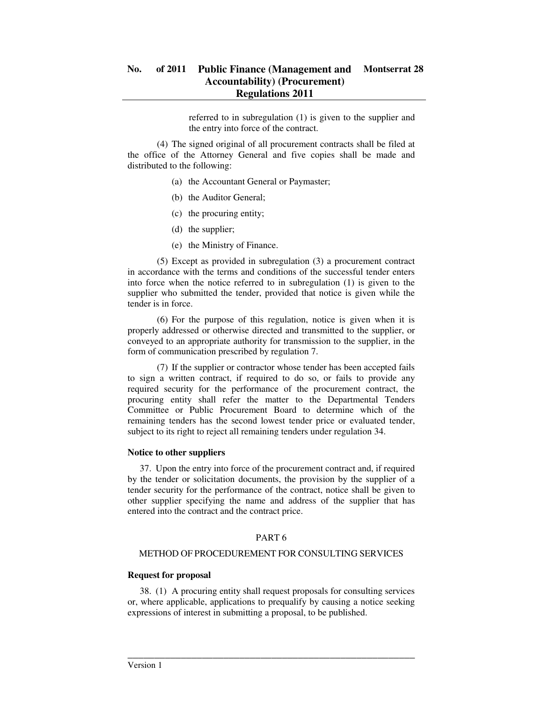referred to in subregulation (1) is given to the supplier and the entry into force of the contract.

 (4) The signed original of all procurement contracts shall be filed at the office of the Attorney General and five copies shall be made and distributed to the following:

- (a) the Accountant General or Paymaster;
- (b) the Auditor General;
- (c) the procuring entity;
- (d) the supplier;
- (e) the Ministry of Finance.

 (5) Except as provided in subregulation (3) a procurement contract in accordance with the terms and conditions of the successful tender enters into force when the notice referred to in subregulation (1) is given to the supplier who submitted the tender, provided that notice is given while the tender is in force.

 (6) For the purpose of this regulation, notice is given when it is properly addressed or otherwise directed and transmitted to the supplier, or conveyed to an appropriate authority for transmission to the supplier, in the form of communication prescribed by regulation 7.

 (7) If the supplier or contractor whose tender has been accepted fails to sign a written contract, if required to do so, or fails to provide any required security for the performance of the procurement contract, the procuring entity shall refer the matter to the Departmental Tenders Committee or Public Procurement Board to determine which of the remaining tenders has the second lowest tender price or evaluated tender, subject to its right to reject all remaining tenders under regulation 34.

### **Notice to other suppliers**

37. Upon the entry into force of the procurement contract and, if required by the tender or solicitation documents, the provision by the supplier of a tender security for the performance of the contract, notice shall be given to other supplier specifying the name and address of the supplier that has entered into the contract and the contract price.

### PART 6

### METHOD OF PROCEDUREMENT FOR CONSULTING SERVICES

### **Request for proposal**

38. (1) A procuring entity shall request proposals for consulting services or, where applicable, applications to prequalify by causing a notice seeking expressions of interest in submitting a proposal, to be published.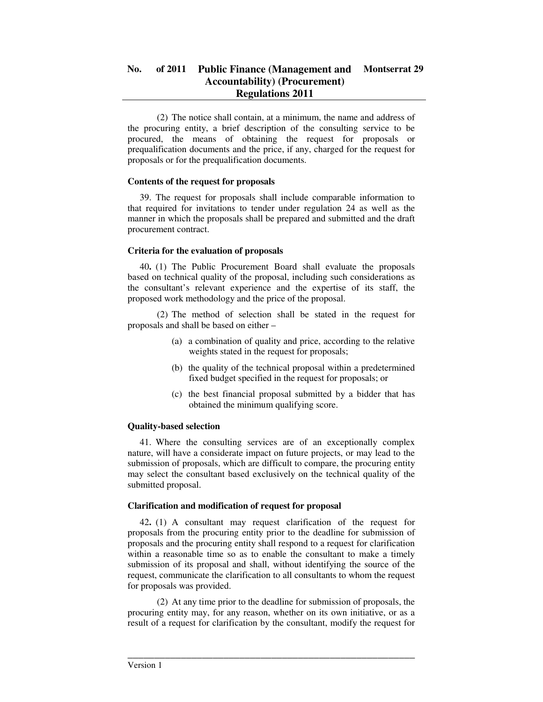(2) The notice shall contain, at a minimum, the name and address of the procuring entity, a brief description of the consulting service to be procured, the means of obtaining the request for proposals or prequalification documents and the price, if any, charged for the request for proposals or for the prequalification documents.

### **Contents of the request for proposals**

39. The request for proposals shall include comparable information to that required for invitations to tender under regulation 24 as well as the manner in which the proposals shall be prepared and submitted and the draft procurement contract.

## **Criteria for the evaluation of proposals**

40**.** (1) The Public Procurement Board shall evaluate the proposals based on technical quality of the proposal, including such considerations as the consultant's relevant experience and the expertise of its staff, the proposed work methodology and the price of the proposal.

 (2) The method of selection shall be stated in the request for proposals and shall be based on either –

- (a) a combination of quality and price, according to the relative weights stated in the request for proposals;
- (b) the quality of the technical proposal within a predetermined fixed budget specified in the request for proposals; or
- (c) the best financial proposal submitted by a bidder that has obtained the minimum qualifying score.

## **Quality-based selection**

41. Where the consulting services are of an exceptionally complex nature, will have a considerate impact on future projects, or may lead to the submission of proposals, which are difficult to compare, the procuring entity may select the consultant based exclusively on the technical quality of the submitted proposal.

### **Clarification and modification of request for proposal**

42**.** (1) A consultant may request clarification of the request for proposals from the procuring entity prior to the deadline for submission of proposals and the procuring entity shall respond to a request for clarification within a reasonable time so as to enable the consultant to make a timely submission of its proposal and shall, without identifying the source of the request, communicate the clarification to all consultants to whom the request for proposals was provided.

 (2) At any time prior to the deadline for submission of proposals, the procuring entity may, for any reason, whether on its own initiative, or as a result of a request for clarification by the consultant, modify the request for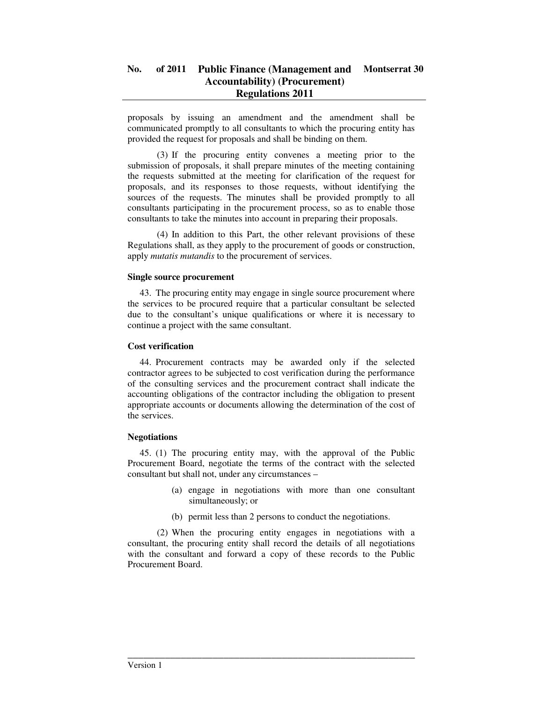proposals by issuing an amendment and the amendment shall be communicated promptly to all consultants to which the procuring entity has provided the request for proposals and shall be binding on them.

 (3) If the procuring entity convenes a meeting prior to the submission of proposals, it shall prepare minutes of the meeting containing the requests submitted at the meeting for clarification of the request for proposals, and its responses to those requests, without identifying the sources of the requests. The minutes shall be provided promptly to all consultants participating in the procurement process, so as to enable those consultants to take the minutes into account in preparing their proposals.

 (4) In addition to this Part, the other relevant provisions of these Regulations shall, as they apply to the procurement of goods or construction, apply *mutatis mutandis* to the procurement of services.

### **Single source procurement**

43. The procuring entity may engage in single source procurement where the services to be procured require that a particular consultant be selected due to the consultant's unique qualifications or where it is necessary to continue a project with the same consultant.

## **Cost verification**

44. Procurement contracts may be awarded only if the selected contractor agrees to be subjected to cost verification during the performance of the consulting services and the procurement contract shall indicate the accounting obligations of the contractor including the obligation to present appropriate accounts or documents allowing the determination of the cost of the services.

### **Negotiations**

45. (1) The procuring entity may, with the approval of the Public Procurement Board, negotiate the terms of the contract with the selected consultant but shall not, under any circumstances –

- (a) engage in negotiations with more than one consultant simultaneously; or
- (b) permit less than 2 persons to conduct the negotiations.

 (2) When the procuring entity engages in negotiations with a consultant, the procuring entity shall record the details of all negotiations with the consultant and forward a copy of these records to the Public Procurement Board.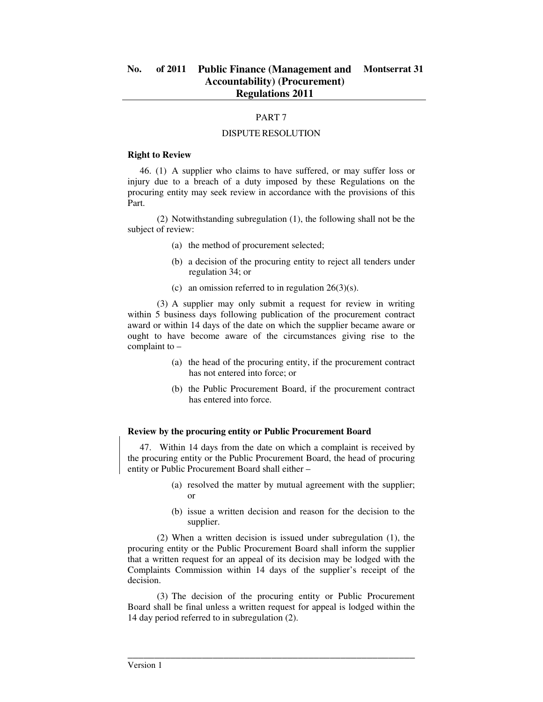### PART 7

#### DISPUTE RESOLUTION

#### **Right to Review**

46. (1) A supplier who claims to have suffered, or may suffer loss or injury due to a breach of a duty imposed by these Regulations on the procuring entity may seek review in accordance with the provisions of this Part.

 (2) Notwithstanding subregulation (1), the following shall not be the subject of review:

- (a) the method of procurement selected;
- (b) a decision of the procuring entity to reject all tenders under regulation 34; or
- (c) an omission referred to in regulation  $26(3)(s)$ .

 (3) A supplier may only submit a request for review in writing within 5 business days following publication of the procurement contract award or within 14 days of the date on which the supplier became aware or ought to have become aware of the circumstances giving rise to the complaint to –

- (a) the head of the procuring entity, if the procurement contract has not entered into force; or
- (b) the Public Procurement Board, if the procurement contract has entered into force.

#### **Review by the procuring entity or Public Procurement Board**

47. Within 14 days from the date on which a complaint is received by the procuring entity or the Public Procurement Board, the head of procuring entity or Public Procurement Board shall either –

- (a) resolved the matter by mutual agreement with the supplier; or
- (b) issue a written decision and reason for the decision to the supplier.

 (2) When a written decision is issued under subregulation (1), the procuring entity or the Public Procurement Board shall inform the supplier that a written request for an appeal of its decision may be lodged with the Complaints Commission within 14 days of the supplier's receipt of the decision.

 (3) The decision of the procuring entity or Public Procurement Board shall be final unless a written request for appeal is lodged within the 14 day period referred to in subregulation (2).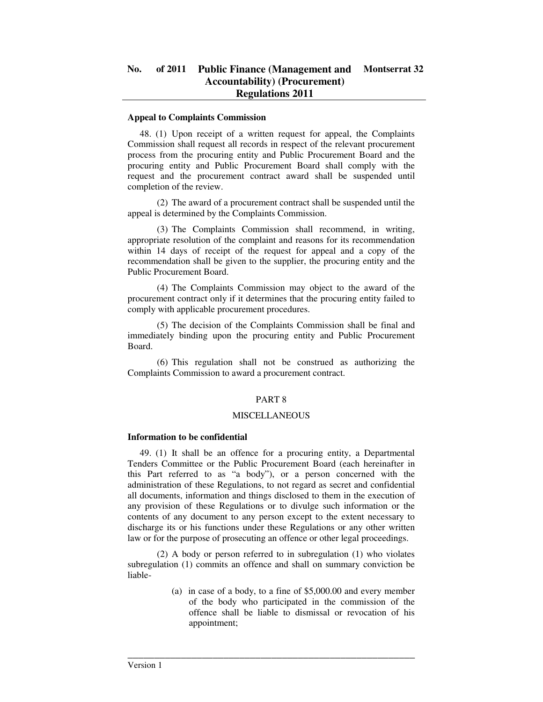#### **Appeal to Complaints Commission**

48. (1) Upon receipt of a written request for appeal, the Complaints Commission shall request all records in respect of the relevant procurement process from the procuring entity and Public Procurement Board and the procuring entity and Public Procurement Board shall comply with the request and the procurement contract award shall be suspended until completion of the review.

 (2) The award of a procurement contract shall be suspended until the appeal is determined by the Complaints Commission.

 (3) The Complaints Commission shall recommend, in writing, appropriate resolution of the complaint and reasons for its recommendation within 14 days of receipt of the request for appeal and a copy of the recommendation shall be given to the supplier, the procuring entity and the Public Procurement Board.

 (4) The Complaints Commission may object to the award of the procurement contract only if it determines that the procuring entity failed to comply with applicable procurement procedures.

 (5) The decision of the Complaints Commission shall be final and immediately binding upon the procuring entity and Public Procurement Board.

 (6) This regulation shall not be construed as authorizing the Complaints Commission to award a procurement contract.

### PART 8

### MISCELLANEOUS

### **Information to be confidential**

49. (1) It shall be an offence for a procuring entity, a Departmental Tenders Committee or the Public Procurement Board (each hereinafter in this Part referred to as "a body"), or a person concerned with the administration of these Regulations, to not regard as secret and confidential all documents, information and things disclosed to them in the execution of any provision of these Regulations or to divulge such information or the contents of any document to any person except to the extent necessary to discharge its or his functions under these Regulations or any other written law or for the purpose of prosecuting an offence or other legal proceedings.

 (2) A body or person referred to in subregulation (1) who violates subregulation (1) commits an offence and shall on summary conviction be liable-

\_\_\_\_\_\_\_\_\_\_\_\_\_\_\_\_\_\_\_\_\_\_\_\_\_\_\_\_\_\_\_\_\_\_\_\_\_\_\_\_\_\_\_\_\_\_\_\_\_\_\_\_\_\_

(a) in case of a body, to a fine of \$5,000.00 and every member of the body who participated in the commission of the offence shall be liable to dismissal or revocation of his appointment;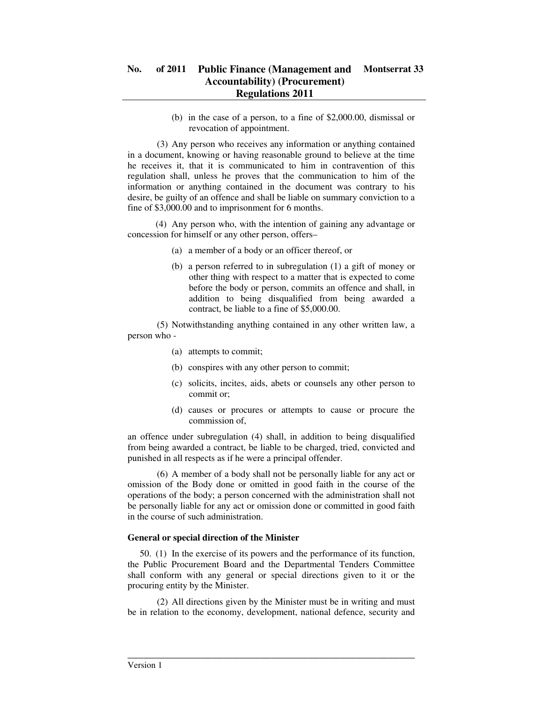(b) in the case of a person, to a fine of \$2,000.00, dismissal or revocation of appointment.

 (3) Any person who receives any information or anything contained in a document, knowing or having reasonable ground to believe at the time he receives it, that it is communicated to him in contravention of this regulation shall, unless he proves that the communication to him of the information or anything contained in the document was contrary to his desire, be guilty of an offence and shall be liable on summary conviction to a fine of \$3,000.00 and to imprisonment for 6 months.

 (4) Any person who, with the intention of gaining any advantage or concession for himself or any other person, offers–

- (a) a member of a body or an officer thereof, or
- (b) a person referred to in subregulation (1) a gift of money or other thing with respect to a matter that is expected to come before the body or person, commits an offence and shall, in addition to being disqualified from being awarded a contract, be liable to a fine of \$5,000.00.

 (5) Notwithstanding anything contained in any other written law, a person who -

- (a) attempts to commit;
- (b) conspires with any other person to commit;
- (c) solicits, incites, aids, abets or counsels any other person to commit or;
- (d) causes or procures or attempts to cause or procure the commission of,

an offence under subregulation (4) shall, in addition to being disqualified from being awarded a contract, be liable to be charged, tried, convicted and punished in all respects as if he were a principal offender.

 (6) A member of a body shall not be personally liable for any act or omission of the Body done or omitted in good faith in the course of the operations of the body; a person concerned with the administration shall not be personally liable for any act or omission done or committed in good faith in the course of such administration.

## **General or special direction of the Minister**

50. (1) In the exercise of its powers and the performance of its function, the Public Procurement Board and the Departmental Tenders Committee shall conform with any general or special directions given to it or the procuring entity by the Minister.

 (2) All directions given by the Minister must be in writing and must be in relation to the economy, development, national defence, security and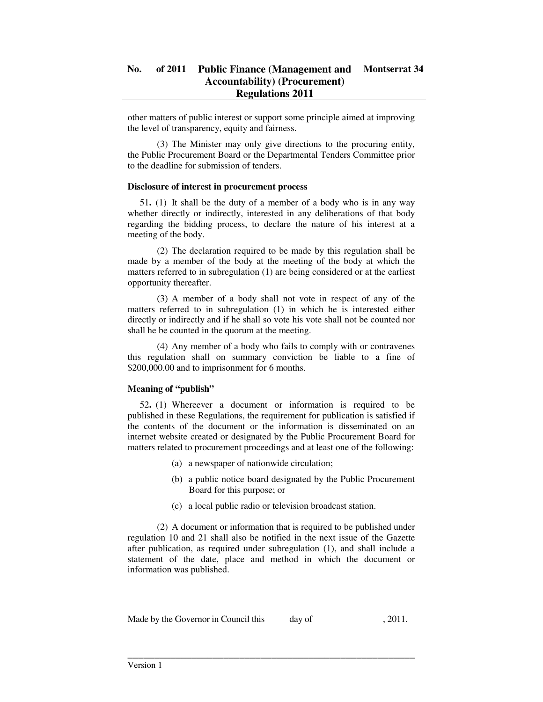other matters of public interest or support some principle aimed at improving the level of transparency, equity and fairness.

 (3) The Minister may only give directions to the procuring entity, the Public Procurement Board or the Departmental Tenders Committee prior to the deadline for submission of tenders.

#### **Disclosure of interest in procurement process**

51**.** (1) It shall be the duty of a member of a body who is in any way whether directly or indirectly, interested in any deliberations of that body regarding the bidding process, to declare the nature of his interest at a meeting of the body.

 (2) The declaration required to be made by this regulation shall be made by a member of the body at the meeting of the body at which the matters referred to in subregulation (1) are being considered or at the earliest opportunity thereafter.

 (3) A member of a body shall not vote in respect of any of the matters referred to in subregulation (1) in which he is interested either directly or indirectly and if he shall so vote his vote shall not be counted nor shall he be counted in the quorum at the meeting.

 (4) Any member of a body who fails to comply with or contravenes this regulation shall on summary conviction be liable to a fine of \$200,000.00 and to imprisonment for 6 months.

### **Meaning of "publish"**

52**.** (1) Whereever a document or information is required to be published in these Regulations, the requirement for publication is satisfied if the contents of the document or the information is disseminated on an internet website created or designated by the Public Procurement Board for matters related to procurement proceedings and at least one of the following:

- (a) a newspaper of nationwide circulation;
- (b) a public notice board designated by the Public Procurement Board for this purpose; or
- (c) a local public radio or television broadcast station.

 (2) A document or information that is required to be published under regulation 10 and 21 shall also be notified in the next issue of the Gazette after publication, as required under subregulation (1), and shall include a statement of the date, place and method in which the document or information was published.

Made by the Governor in Council this day of , 2011.